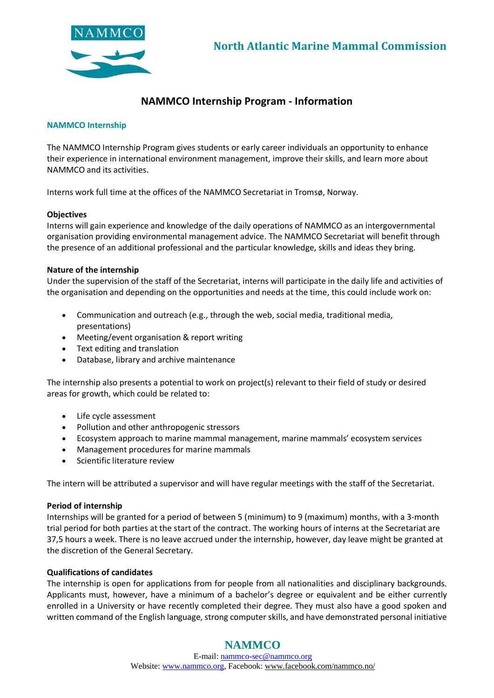

# **NAMMCO Internship Program - Information**

#### **NAMMCO Internship**

The NAMMCO Internship Program gives students or early career individuals an opportunity to enhance their experience in international environment management, improve their skills, and learn more about NAMMCO and its activities.

Interns work full time at the offices of the NAMMCO Secretariat in Tromsø, Norway.

## **Objectives**

Interns will gain experience and knowledge of the daily operations of NAMMCO as an intergovernmental organisation providing environmental management advice. The NAMMCO Secretariat will benefit through the presence of an additional professional and the particular knowledge, skills and ideas they bring.

## **Nature of the internship**

Under the supervision of the staff of the Secretariat, interns will participate in the daily life and activities of the organisation and depending on the opportunities and needs at the time, this could include work on:

- Communication and outreach (e.g., through the web, social media, traditional media, presentations)
- Meeting/event organisation & report writing
- Text editing and translation
- Database, library and archive maintenance

The internship also presents a potential to work on project(s) relevant to their field of study or desired areas for growth, which could be related to:

- Life cycle assessment
- Pollution and other anthropogenic stressors
- Ecosystem approach to marine mammal management, marine mammals' ecosystem services
- Management procedures for marine mammals
- Scientific literature review

The intern will be attributed a supervisor and will have regular meetings with the staff of the Secretariat.

#### **Period of internship**

Internships will be granted for a period of between 5 (minimum) to 9 (maximum) months, with a 3-month trial period for both parties at the start of the contract. The working hours of interns at the Secretariat are 37,5 hours a week. There is no leave accrued under the internship, however, day leave might be granted at the discretion of the General Secretary.

#### **Qualifications of candidates**

The internship is open for applications from for people from all nationalities and disciplinary backgrounds. Applicants must, however, have a minimum of a bachelor's degree or equivalent and be either currently enrolled in a University or have recently completed their degree. They must also have a good spoken and written command of the English language, strong computer skills, and have demonstrated personal initiative

## **NAMMCO**